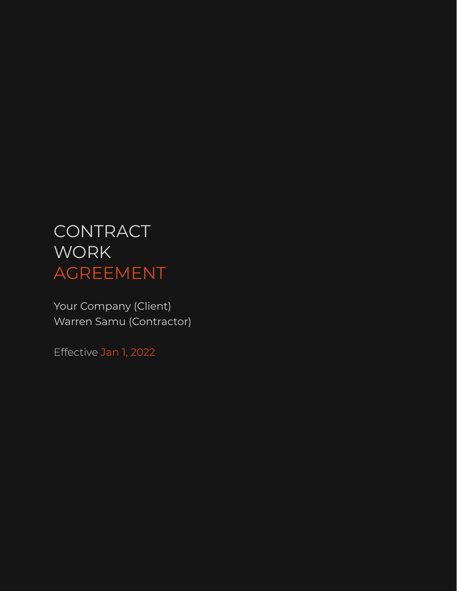# CONTRACT **WORK** AGREEMENT

Your Company (Client) Warren Samu (Contractor)

Effective Jan 1, 2022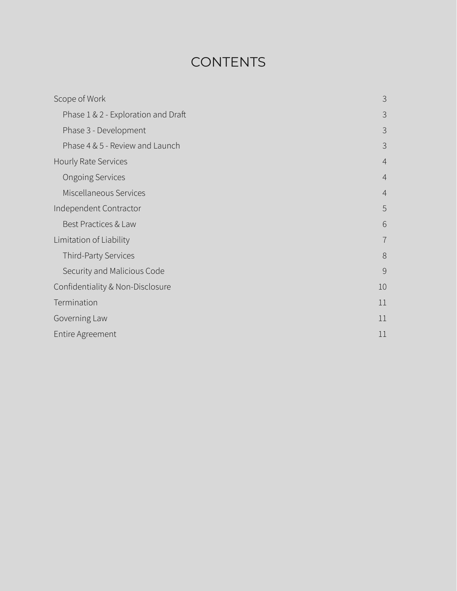# **CONTENTS**

| Scope of Work                       | 3               |
|-------------------------------------|-----------------|
| Phase 1 & 2 - Exploration and Draft | 3               |
| Phase 3 - Development               | 3               |
| Phase 4 & 5 - Review and Launch     | 3               |
| Hourly Rate Services                | $\overline{4}$  |
| <b>Ongoing Services</b>             | $\overline{4}$  |
| Miscellaneous Services              | $\overline{4}$  |
| Independent Contractor              | 5               |
| Best Practices & Law                | $6\phantom{1}6$ |
| Limitation of Liability             | $\overline{7}$  |
| Third-Party Services                | 8               |
| Security and Malicious Code         | 9               |
| Confidentiality & Non-Disclosure    | 10              |
| Termination                         | 11              |
| Governing Law                       | 11              |
| Entire Agreement                    | 11              |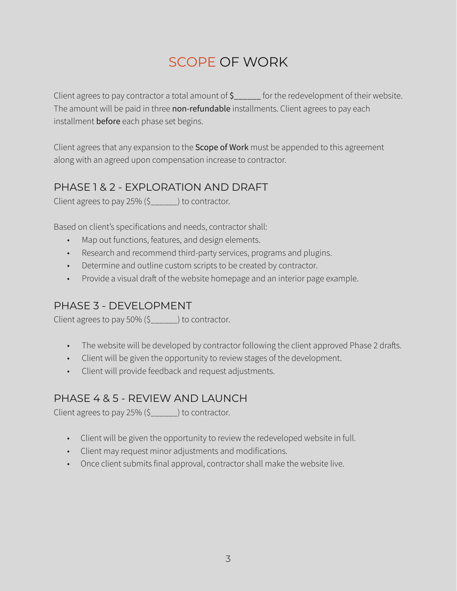## <span id="page-2-0"></span>SCOPE OF WORK

Client agrees to pay contractor a total amount of \$\_\_\_\_\_\_ for the redevelopment of their website. The amount will be paid in three non-refundable installments. Client agrees to pay each installment before each phase set begins.

Client agrees that any expansion to the **Scope of Work** must be appended to this agreement along with an agreed upon compensation increase to contractor.

### <span id="page-2-1"></span>PHASE 1 & 2 - EXPLORATION AND DRAFT

Client agrees to pay 25% (\$\_\_\_\_\_\_) to contractor.

Based on client's specifications and needs, contractor shall:

- Map out functions, features, and design elements.
- Research and recommend third-party services, programs and plugins.
- Determine and outline custom scripts to be created by contractor.
- Provide a visual draft of the website homepage and an interior page example.

### <span id="page-2-2"></span>PHASE 3 - DEVELOPMENT

Client agrees to pay 50% (\$\_\_\_\_\_\_) to contractor.

- The website will be developed by contractor following the client approved Phase 2 drafts.
- Client will be given the opportunity to review stages of the development.
- Client will provide feedback and request adjustments.

#### <span id="page-2-3"></span>PHASE 4 & 5 - REVIEW AND LAUNCH

Client agrees to pay 25% (\$\_\_\_\_\_\_) to contractor.

- Client will be given the opportunity to review the redeveloped website in full.
- Client may request minor adjustments and modifications.
- Once client submits final approval, contractor shall make the website live.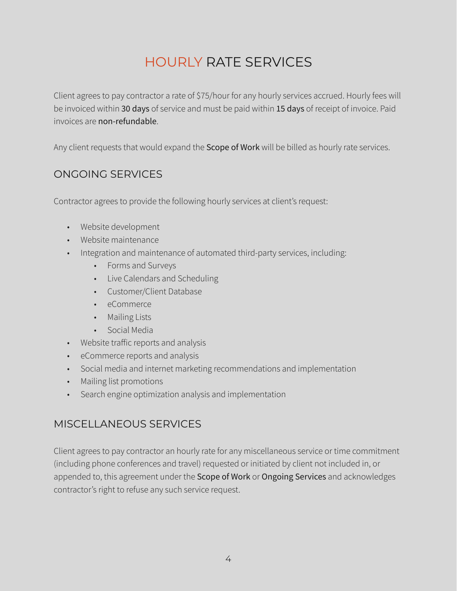# <span id="page-3-0"></span>HOURLY RATE SERVICES

Client agrees to pay contractor a rate of \$75/hour for any hourly services accrued. Hourly fees will be invoiced within 30 days of service and must be paid within 15 days of receipt of invoice. Paid invoices are non-refundable.

Any client requests that would expand the Scope of Work will be billed as hourly rate services.

#### <span id="page-3-1"></span>ONGOING SERVICES

Contractor agrees to provide the following hourly services at client's request:

- Website development
- Website maintenance
- Integration and maintenance of automated third-party services, including:
	- Forms and Surveys
	- Live Calendars and Scheduling
	- Customer/Client Database
	- eCommerce
	- Mailing Lists
	- Social Media
- Website traffic reports and analysis
- eCommerce reports and analysis
- Social media and internet marketing recommendations and implementation
- Mailing list promotions
- Search engine optimization analysis and implementation

### <span id="page-3-2"></span>MISCELLANEOUS SERVICES

Client agrees to pay contractor an hourly rate for any miscellaneous service or time commitment (including phone conferences and travel) requested or initiated by client not included in, or appended to, this agreement under the Scope of Work or Ongoing Services and acknowledges contractor's right to refuse any such service request.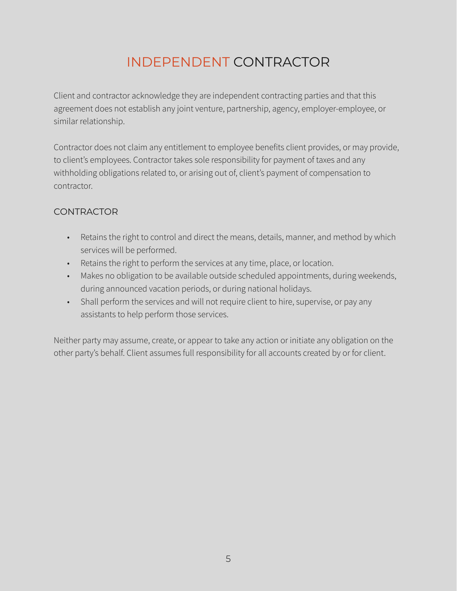# <span id="page-4-0"></span>INDEPENDENT CONTRACTOR

Client and contractor acknowledge they are independent contracting parties and that this agreement does not establish any joint venture, partnership, agency, employer-employee, or similar relationship.

Contractor does not claim any entitlement to employee benefits client provides, or may provide, to client's employees. Contractor takes sole responsibility for payment of taxes and any withholding obligations related to, or arising out of, client's payment of compensation to contractor.

#### **CONTRACTOR**

- Retains the right to control and direct the means, details, manner, and method by which services will be performed.
- Retains the right to perform the services at any time, place, or location.
- Makes no obligation to be available outside scheduled appointments, during weekends, during announced vacation periods, or during national holidays.
- Shall perform the services and will not require client to hire, supervise, or pay any assistants to help perform those services.

Neither party may assume, create, or appear to take any action or initiate any obligation on the other party's behalf. Client assumes full responsibility for all accounts created by or for client.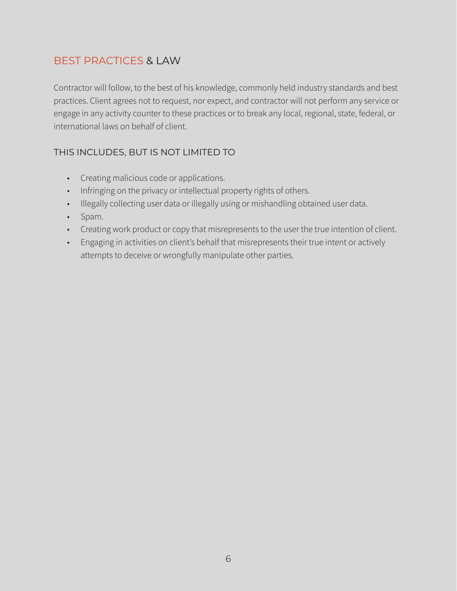### <span id="page-5-0"></span>BEST PRACTICES & LAW

Contractor will follow, to the best of his knowledge, commonly held industry standards and best practices. Client agrees not to request, nor expect, and contractor will not perform any service or engage in any activity counter to these practices or to break any local, regional, state, federal, or international laws on behalf of client.

#### THIS INCLUDES, BUT IS NOT LIMITED TO

- Creating malicious code or applications.
- Infringing on the privacy or intellectual property rights of others.
- Illegally collecting user data or illegally using or mishandling obtained user data.
- Spam.
- Creating work product or copy that misrepresents to the user the true intention of client.
- Engaging in activities on client's behalf that misrepresents their true intent or actively attempts to deceive or wrongfully manipulate other parties.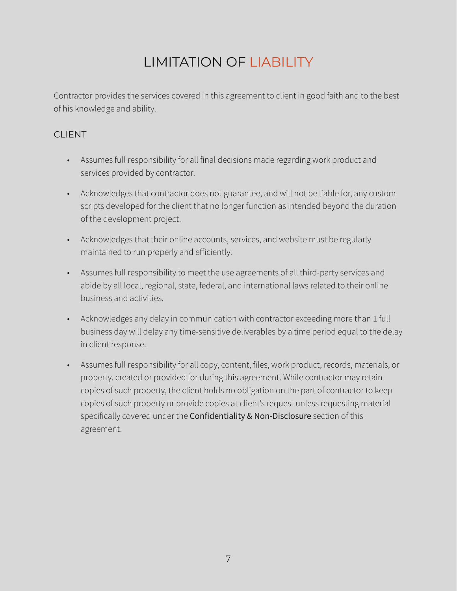# <span id="page-6-0"></span>LIMITATION OF LIABILITY

Contractor provides the services covered in this agreement to client in good faith and to the best of his knowledge and ability.

#### CLIENT

- Assumes full responsibility for all final decisions made regarding work product and services provided by contractor.
- Acknowledges that contractor does not guarantee, and will not be liable for, any custom scripts developed for the client that no longer function as intended beyond the duration of the development project.
- Acknowledges that their online accounts, services, and website must be regularly maintained to run properly and efficiently.
- Assumes full responsibility to meet the use agreements of all third-party services and abide by all local, regional, state, federal, and international laws related to their online business and activities.
- Acknowledges any delay in communication with contractor exceeding more than 1 full business day will delay any time-sensitive deliverables by a time period equal to the delay in client response.
- Assumes full responsibility for all copy, content, files, work product, records, materials, or property. created or provided for during this agreement. While contractor may retain copies of such property, the client holds no obligation on the part of contractor to keep copies of such property or provide copies at client's request unless requesting material specifically covered under the Confidentiality & Non-Disclosure section of this agreement.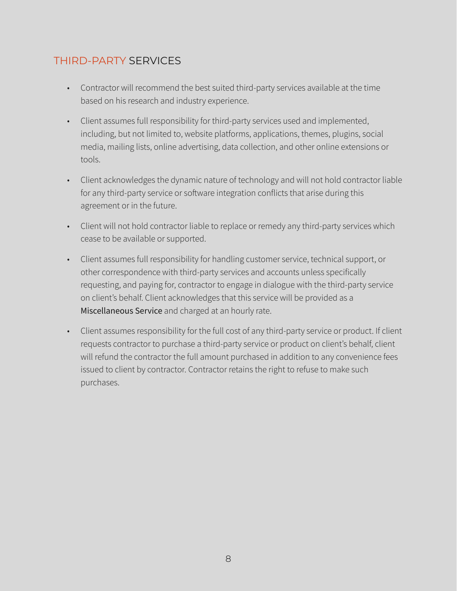### <span id="page-7-0"></span>THIRD-PARTY SERVICES

- Contractor will recommend the best suited third-party services available at the time based on his research and industry experience.
- Client assumes full responsibility for third-party services used and implemented, including, but not limited to, website platforms, applications, themes, plugins, social media, mailing lists, online advertising, data collection, and other online extensions or tools.
- Client acknowledges the dynamic nature of technology and will not hold contractor liable for any third-party service or software integration conflicts that arise during this agreement or in the future.
- Client will not hold contractor liable to replace or remedy any third-party services which cease to be available or supported.
- Client assumes full responsibility for handling customer service, technical support, or other correspondence with third-party services and accounts unless specifically requesting, and paying for, contractor to engage in dialogue with the third-party service on client's behalf. Client acknowledges that this service will be provided as a Miscellaneous Service and charged at an hourly rate.
- Client assumes responsibility for the full cost of any third-party service or product. If client requests contractor to purchase a third-party service or product on client's behalf, client will refund the contractor the full amount purchased in addition to any convenience fees issued to client by contractor. Contractor retains the right to refuse to make such purchases.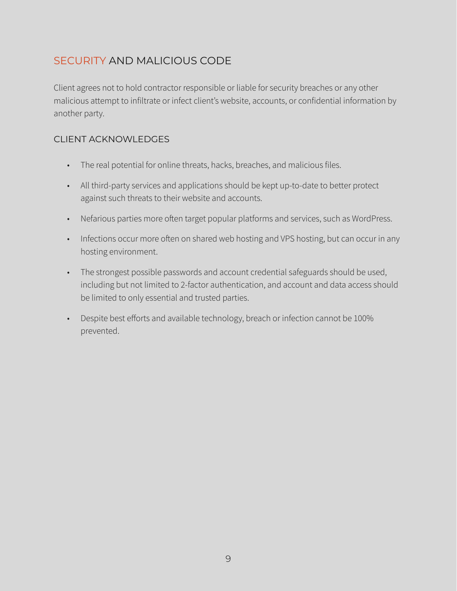### <span id="page-8-0"></span>SECURITY AND MALICIOUS CODE

Client agrees not to hold contractor responsible or liable for security breaches or any other malicious attempt to infiltrate or infect client's website, accounts, or confidential information by another party.

#### CLIENT ACKNOWLEDGES

- The real potential for online threats, hacks, breaches, and malicious files.
- All third-party services and applications should be kept up-to-date to better protect against such threats to their website and accounts.
- Nefarious parties more often target popular platforms and services, such as WordPress.
- Infections occur more often on shared web hosting and VPS hosting, but can occur in any hosting environment.
- The strongest possible passwords and account credential safeguards should be used, including but not limited to 2-factor authentication, and account and data access should be limited to only essential and trusted parties.
- Despite best efforts and available technology, breach or infection cannot be 100% prevented.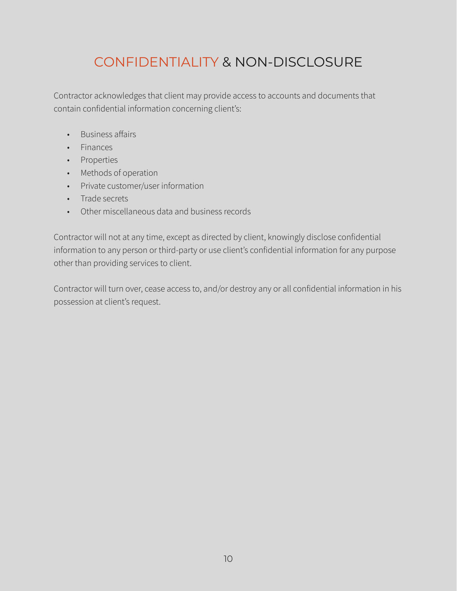## <span id="page-9-0"></span>CONFIDENTIALITY & NON-DISCLOSURE

Contractor acknowledges that client may provide access to accounts and documents that contain confidential information concerning client's:

- Business affairs
- Finances
- Properties
- Methods of operation
- Private customer/user information
- Trade secrets
- Other miscellaneous data and business records

Contractor will not at any time, except as directed by client, knowingly disclose confidential information to any person or third-party or use client's confidential information for any purpose other than providing services to client.

Contractor will turn over, cease access to, and/or destroy any or all confidential information in his possession at client's request.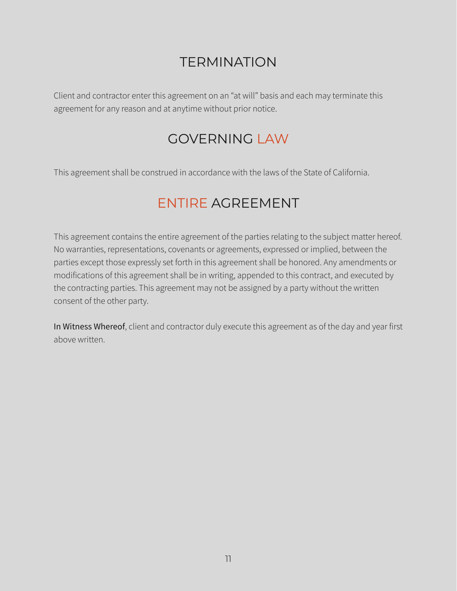## <span id="page-10-0"></span>TERMINATION

Client and contractor enter this agreement on an "at will" basis and each may terminate this agreement for any reason and at anytime without prior notice.

## <span id="page-10-1"></span>GOVERNING LAW

This agreement shall be construed in accordance with the laws of the State of California.

## <span id="page-10-2"></span>ENTIRE AGREEMENT

This agreement contains the entire agreement of the parties relating to the subject matter hereof. No warranties, representations, covenants or agreements, expressed or implied, between the parties except those expressly set forth in this agreement shall be honored. Any amendments or modifications of this agreement shall be in writing, appended to this contract, and executed by the contracting parties. This agreement may not be assigned by a party without the written consent of the other party.

In Witness Whereof, client and contractor duly execute this agreement as of the day and year first above written.